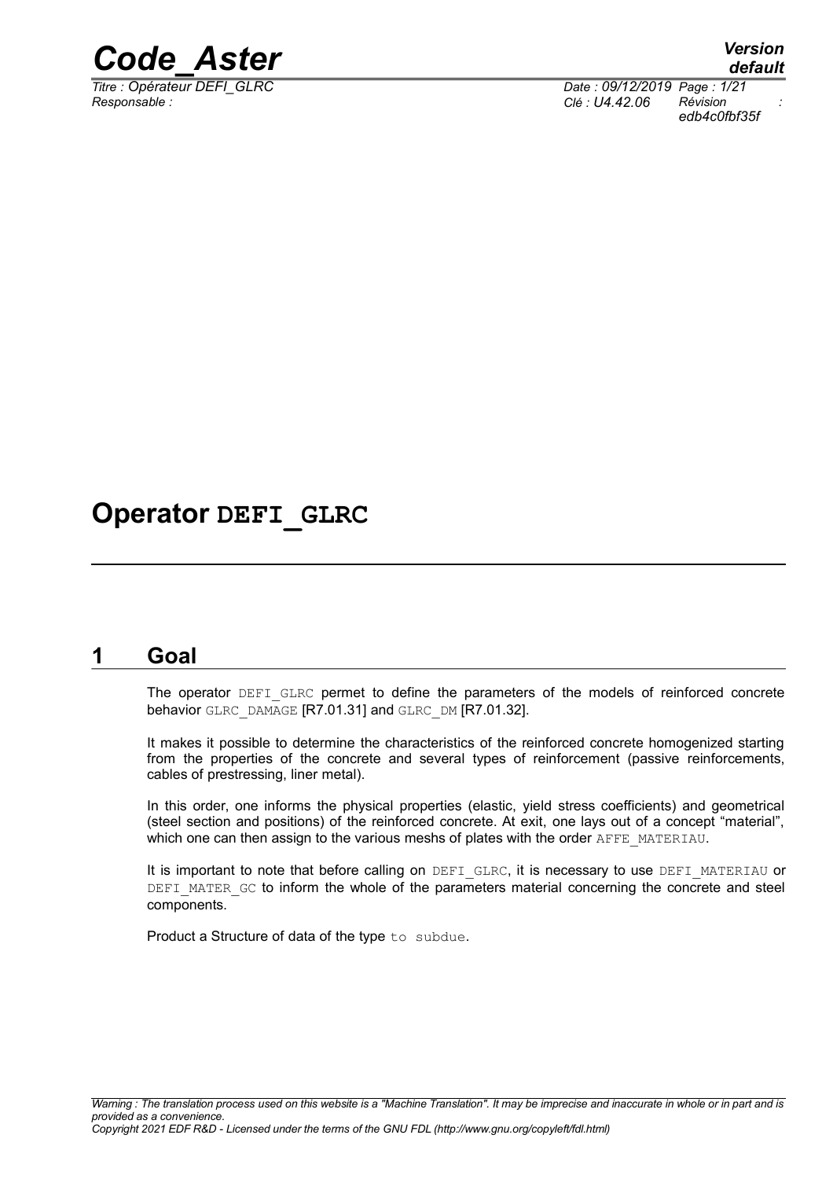

*Responsable : Clé : U4.42.06 Révision :*

*Titre : Opérateur DEFI\_GLRC Date : 09/12/2019 Page : 1/21 edb4c0fbf35f*

### **Operator DEFI\_GLRC**

### **1 Goal**

<span id="page-0-0"></span>The operator DEFI\_GLRC permet to define the parameters of the models of reinforced concrete behavior GLRC\_DAMAGE [R7.01.31] and GLRC\_DM [R7.01.32].

It makes it possible to determine the characteristics of the reinforced concrete homogenized starting from the properties of the concrete and several types of reinforcement (passive reinforcements, cables of prestressing, liner metal).

In this order, one informs the physical properties (elastic, yield stress coefficients) and geometrical (steel section and positions) of the reinforced concrete. At exit, one lays out of a concept "material", which one can then assign to the various meshs of plates with the order AFFE\_MATERIAU.

It is important to note that before calling on DEFI\_GLRC, it is necessary to use DEFI\_MATERIAU or DEFI\_MATER\_GC to inform the whole of the parameters material concerning the concrete and steel components.

Product a Structure of data of the type to subdue.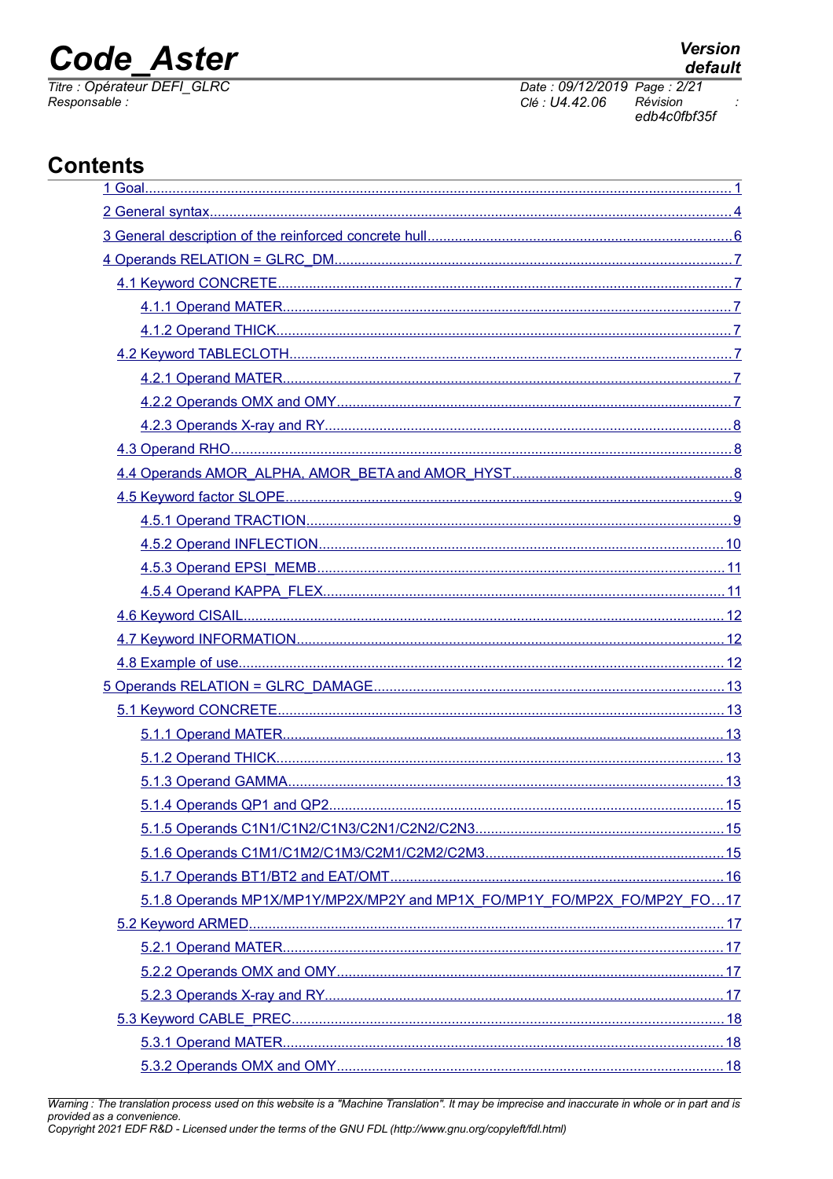# **Code Aster**

Titre : Opérateur DEFI GLRC Responsable:

Date: 09/12/2019 Page: 2/21 Clé : U4.42.06 Révision edb4c0fbf35f

### **Contents**

| 5.1.8 Operands MP1X/MP1Y/MP2X/MP2Y and MP1X_FO/MP1Y_FO/MP2X_FO/MP2Y_FO17 |  |
|--------------------------------------------------------------------------|--|
|                                                                          |  |
|                                                                          |  |
|                                                                          |  |
|                                                                          |  |
|                                                                          |  |
|                                                                          |  |
|                                                                          |  |

Warning : The translation process used on this website is a "Machine Translation". It may be imprecise and inaccurate in whole or in part and is provided as a convenience.<br>Copyright 2021 EDF R&D - Licensed under the terms of the GNU FDL (http://www.gnu.org/copyleft/fdl.html)

 $\cdot$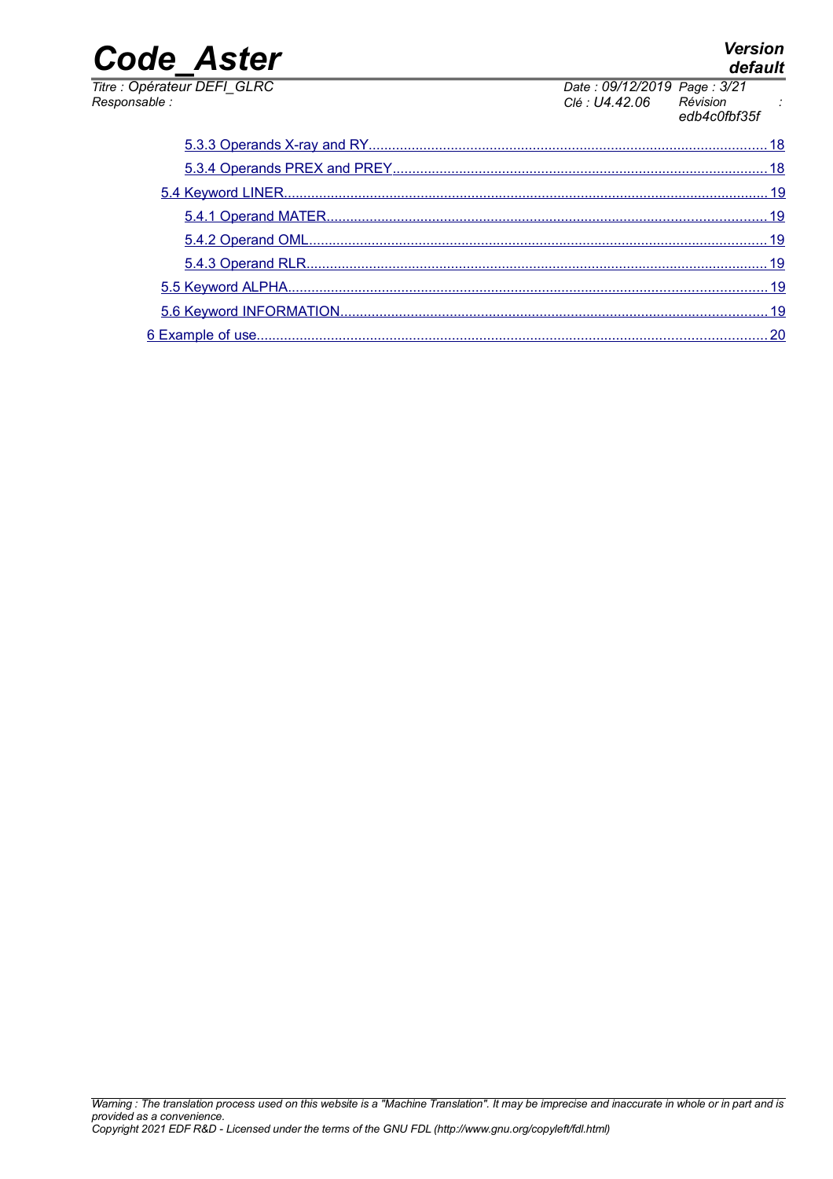| Titre : Opérateur DEFI GLRC | Date: 09/12/2019 Page: 3/21 |                          |  |
|-----------------------------|-----------------------------|--------------------------|--|
| Responsable :               | Clé : U4.42.06              | Révision<br>edb4c0fbf35f |  |
|                             |                             |                          |  |

## *default*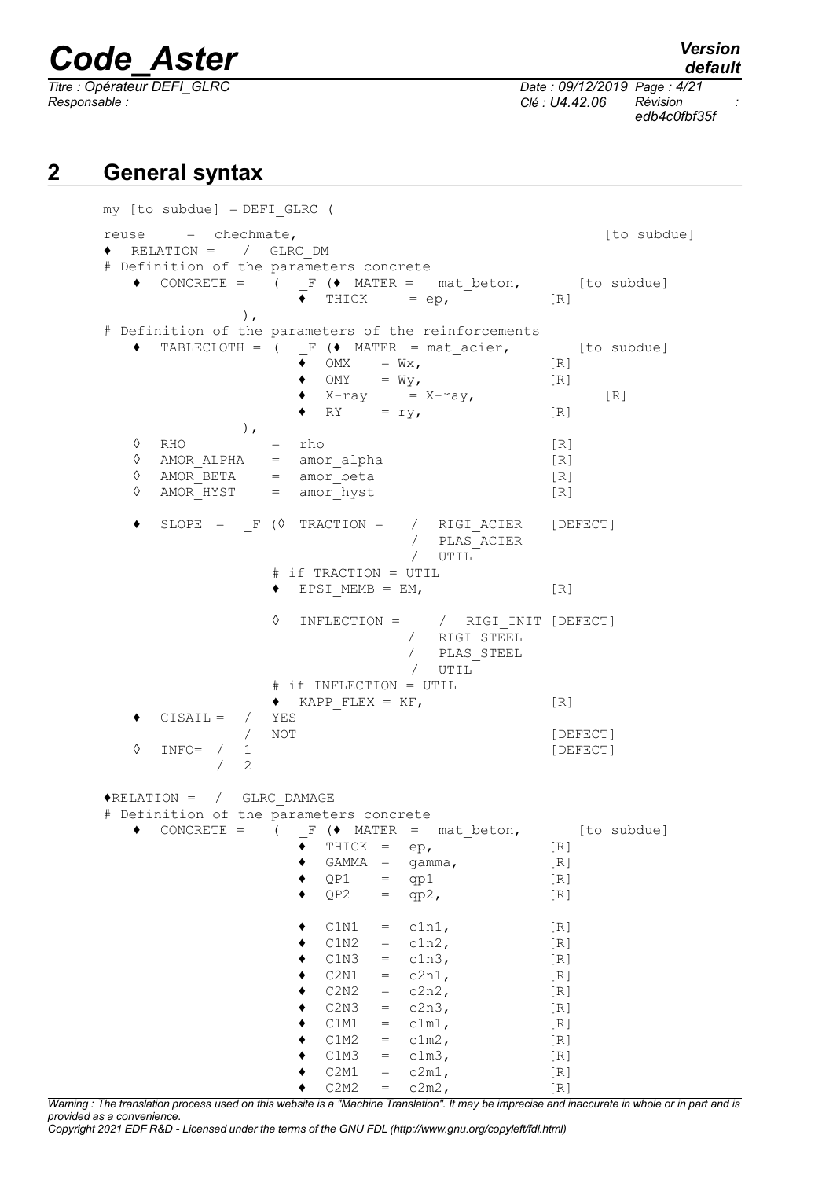*default Titre : Opérateur DEFI\_GLRC Date : 09/12/2019 Page : 4/21 Responsable : Clé : U4.42.06 Révision : edb4c0fbf35f*

### **2 General syntax**

<span id="page-3-0"></span>

| $my$ [to subdue] = $DEFI_GLRC$ (                                               |                                                                       |                                                                                                                                                                                                                                                                                                                                                                                                                                                                                                                                                            |
|--------------------------------------------------------------------------------|-----------------------------------------------------------------------|------------------------------------------------------------------------------------------------------------------------------------------------------------------------------------------------------------------------------------------------------------------------------------------------------------------------------------------------------------------------------------------------------------------------------------------------------------------------------------------------------------------------------------------------------------|
| reuse = chechmate,                                                             |                                                                       | [to subdue]                                                                                                                                                                                                                                                                                                                                                                                                                                                                                                                                                |
| $\blacklozenge$ RELATION = / GLRC DM                                           |                                                                       |                                                                                                                                                                                                                                                                                                                                                                                                                                                                                                                                                            |
|                                                                                | # Definition of the parameters concrete                               |                                                                                                                                                                                                                                                                                                                                                                                                                                                                                                                                                            |
|                                                                                | $\bullet$ CONCRETE = ( F ( $\bullet$ MATER = mat beton, [to subdue]   |                                                                                                                                                                                                                                                                                                                                                                                                                                                                                                                                                            |
|                                                                                | $\bullet$ THICK = ep,                                                 | $\lceil R \rceil$                                                                                                                                                                                                                                                                                                                                                                                                                                                                                                                                          |
| $\,$ ,                                                                         |                                                                       |                                                                                                                                                                                                                                                                                                                                                                                                                                                                                                                                                            |
|                                                                                | # Definition of the parameters of the reinforcements                  |                                                                                                                                                                                                                                                                                                                                                                                                                                                                                                                                                            |
|                                                                                | $\bullet$ TABLECLOTH = ( F ( $\bullet$ MATER = mat acier, [to subdue] |                                                                                                                                                                                                                                                                                                                                                                                                                                                                                                                                                            |
|                                                                                | $\bullet$ OMX = $Wx$ ,                                                | $\lceil R \rceil$                                                                                                                                                                                                                                                                                                                                                                                                                                                                                                                                          |
|                                                                                | $\bullet$ OMY = Wy,                                                   | $\lceil R \rceil$                                                                                                                                                                                                                                                                                                                                                                                                                                                                                                                                          |
|                                                                                | $\bullet$ X-ray = X-ray,                                              | [R]                                                                                                                                                                                                                                                                                                                                                                                                                                                                                                                                                        |
|                                                                                | $\bullet$ RY = ry,                                                    | $\lceil R \rceil$                                                                                                                                                                                                                                                                                                                                                                                                                                                                                                                                          |
| ),                                                                             |                                                                       |                                                                                                                                                                                                                                                                                                                                                                                                                                                                                                                                                            |
| ♦<br>RHO<br>♦                                                                  | rho<br>$=$ $\qquad$                                                   | [R]                                                                                                                                                                                                                                                                                                                                                                                                                                                                                                                                                        |
| AMOR_BETA<br>♦                                                                 | $AMOR$ $ALPHA$ = $amor$ $alpha$<br>$=$ amor beta                      | [R]<br>[R]                                                                                                                                                                                                                                                                                                                                                                                                                                                                                                                                                 |
| AMOR HYST = amor hyst<br>♦                                                     |                                                                       | [R]                                                                                                                                                                                                                                                                                                                                                                                                                                                                                                                                                        |
|                                                                                |                                                                       |                                                                                                                                                                                                                                                                                                                                                                                                                                                                                                                                                            |
|                                                                                | SLOPE = $_F$ ( $\Diamond$ TRACTION = / RIGI_ACIER [DEFECT]            |                                                                                                                                                                                                                                                                                                                                                                                                                                                                                                                                                            |
|                                                                                | / PLAS ACIER                                                          |                                                                                                                                                                                                                                                                                                                                                                                                                                                                                                                                                            |
|                                                                                | / UTIL                                                                |                                                                                                                                                                                                                                                                                                                                                                                                                                                                                                                                                            |
|                                                                                | # if TRACTION = UTIL                                                  |                                                                                                                                                                                                                                                                                                                                                                                                                                                                                                                                                            |
|                                                                                | $\bullet$ EPSI MEMB = EM,                                             | $\lceil R \rceil$                                                                                                                                                                                                                                                                                                                                                                                                                                                                                                                                          |
|                                                                                |                                                                       |                                                                                                                                                                                                                                                                                                                                                                                                                                                                                                                                                            |
|                                                                                | ♦<br>$INFLECTION = / RIGI INIT [DEFECT]$                              |                                                                                                                                                                                                                                                                                                                                                                                                                                                                                                                                                            |
|                                                                                | / $RIGI$ STEEL                                                        |                                                                                                                                                                                                                                                                                                                                                                                                                                                                                                                                                            |
|                                                                                | / $PLAS$ $STEEL$                                                      |                                                                                                                                                                                                                                                                                                                                                                                                                                                                                                                                                            |
|                                                                                | UTIL<br>$\sqrt{2}$                                                    |                                                                                                                                                                                                                                                                                                                                                                                                                                                                                                                                                            |
|                                                                                | # if INFLECTION = UTIL<br>$\bullet$ KAPP FLEX = KF,                   | $\lceil R \rceil$                                                                                                                                                                                                                                                                                                                                                                                                                                                                                                                                          |
| $CISAIL = / YES$                                                               |                                                                       |                                                                                                                                                                                                                                                                                                                                                                                                                                                                                                                                                            |
| $\sqrt{2}$                                                                     | NOT                                                                   | [DEFECT]                                                                                                                                                                                                                                                                                                                                                                                                                                                                                                                                                   |
| $\Diamond$<br>$INFO = / 1$                                                     |                                                                       | [DEFECT]                                                                                                                                                                                                                                                                                                                                                                                                                                                                                                                                                   |
| $\overline{2}$<br>$\sqrt{2}$                                                   |                                                                       |                                                                                                                                                                                                                                                                                                                                                                                                                                                                                                                                                            |
|                                                                                |                                                                       |                                                                                                                                                                                                                                                                                                                                                                                                                                                                                                                                                            |
| $\blacklozenge\texttt{RELATION} \ = \ \ / \ \ \texttt{GLRC} \ \texttt{DAMAGE}$ |                                                                       |                                                                                                                                                                                                                                                                                                                                                                                                                                                                                                                                                            |
|                                                                                | # Definition of the parameters concrete                               |                                                                                                                                                                                                                                                                                                                                                                                                                                                                                                                                                            |
|                                                                                | $\bullet$ CONCRETE = $($ F $($ MATER = mat_beton, [to subdue]         |                                                                                                                                                                                                                                                                                                                                                                                                                                                                                                                                                            |
|                                                                                | $THICK =$<br>ep,                                                      | [R]                                                                                                                                                                                                                                                                                                                                                                                                                                                                                                                                                        |
|                                                                                | GAMMA<br>gamma,<br>$=$                                                | [R]                                                                                                                                                                                                                                                                                                                                                                                                                                                                                                                                                        |
|                                                                                | QP1<br>qp1<br>$=$                                                     | [R]                                                                                                                                                                                                                                                                                                                                                                                                                                                                                                                                                        |
|                                                                                | QP2<br>qp2,<br>$=$                                                    | [R]                                                                                                                                                                                                                                                                                                                                                                                                                                                                                                                                                        |
|                                                                                | C1N1<br>cln1,<br>$=$                                                  | [R]                                                                                                                                                                                                                                                                                                                                                                                                                                                                                                                                                        |
|                                                                                | C1N2<br>$c1n2$ ,<br>$=$                                               | [R]                                                                                                                                                                                                                                                                                                                                                                                                                                                                                                                                                        |
|                                                                                | C1N3<br>$c1n3$ ,<br>$=$                                               | [R]                                                                                                                                                                                                                                                                                                                                                                                                                                                                                                                                                        |
|                                                                                | c2n1,<br>C2N1<br>$=$                                                  | [R]                                                                                                                                                                                                                                                                                                                                                                                                                                                                                                                                                        |
|                                                                                | $c2n2$ ,<br>C2N2<br>$=$                                               | [R]                                                                                                                                                                                                                                                                                                                                                                                                                                                                                                                                                        |
|                                                                                | c2n3,<br>C2N3<br>$=$                                                  | [R]                                                                                                                                                                                                                                                                                                                                                                                                                                                                                                                                                        |
|                                                                                | C1M1<br>c1m1,<br>$=$                                                  | [R]                                                                                                                                                                                                                                                                                                                                                                                                                                                                                                                                                        |
|                                                                                | C1M2<br>$c1m2$ ,<br>$=$                                               | [R]                                                                                                                                                                                                                                                                                                                                                                                                                                                                                                                                                        |
|                                                                                | C1M3<br>$c1m3$ ,<br>$=$                                               | [R]                                                                                                                                                                                                                                                                                                                                                                                                                                                                                                                                                        |
|                                                                                | C2M1<br>$c2m1$ ,<br>$\qquad \qquad =$<br>$c2m2$ ,                     | [R]<br>$[R] % \begin{center} % \includegraphics[width=\textwidth]{images/Trn1.png} % \end{center} % \caption { % \textit{DefNet} of the \textit{DefNet} (MSE) and the \textit{DefNet} (MSE) and the \textit{DefNet} (MSE) and the \textit{DefNet} (MSE) and the \textit{DefNet} (MSE) and the \textit{DefNet} (MSE) and the \textit{DefNet} (MSE) and the \textit{DefNet} (MSE) and the \textit{DefNet} (MSE) and the \textit{DefNet} (MSE) and the \textit{DefNet} (MSE) and the \textit{DefNet} (MSE) and the \textit{DefNet} (MSE) and the \textit{Def$ |
|                                                                                | C2M2<br>$=$                                                           |                                                                                                                                                                                                                                                                                                                                                                                                                                                                                                                                                            |

*Warning : The translation process used on this website is a "Machine Translation". It may be imprecise and inaccurate in whole or in part and is provided as a convenience.*

*Copyright 2021 EDF R&D - Licensed under the terms of the GNU FDL (http://www.gnu.org/copyleft/fdl.html)*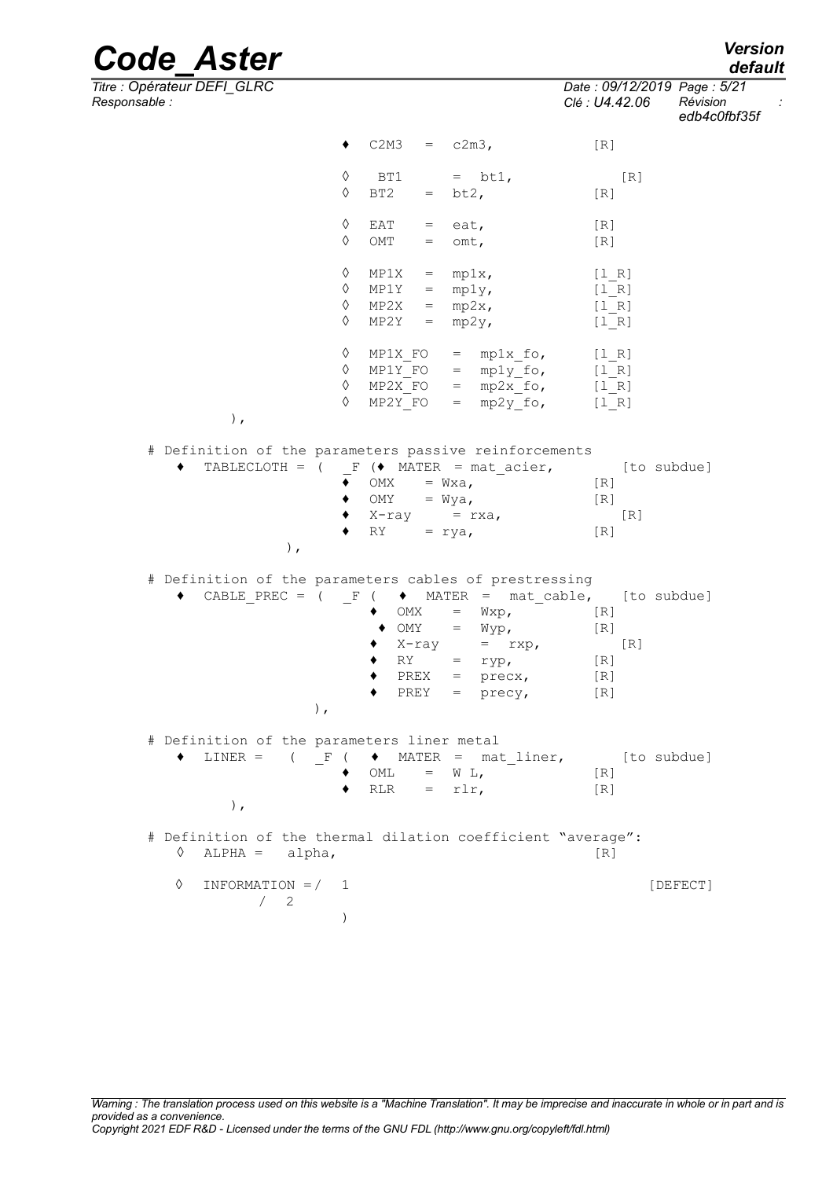*Responsable : Clé : U4.42.06 Révision : edb4c0fbf35f*  $\bullet$  C2M3 = c2m3, [R]  $\begin{array}{ccc} \Diamond & \text{BT1} & = \text{bt1}, & [\text{R}] \ \Diamond & \text{BT2} & = \text{bt2}, & [\text{R}] \end{array}$  $= bt2, \qquad [R]$  $\begin{array}{rcl}\n\lozenge & \text{EAT} & = & \text{eat}, \\
\lozenge & \text{OMT} & = & \text{omt.} \\
\end{array}$ [R]  $=$  omt,  $[R]$  $\begin{array}{rcl}\n\lozenge & MP1X & = & mp1x, & [1_R] \\
\lozenge & MP1Y & = & mp1y, & [1_R]\n\end{array}$  $\begin{array}{rcl}\n\lozenge & MP1Y & = & mp1y, & [1_R] \\
\lozenge & MP2X & = & mp2x, & [1_R]\n\end{array}$  $MP2X = mp2x,$  $\Diamond$  MP2Y = mp2y, [l\_R]  $\Diamond$  MP1X FO = mp1x fo, [l R]  $\begin{array}{rcl}\n\lozenge & \text{MP1Y\_FO} & = & \text{mp1y\_fo} \\
\lozenge & \text{MP2X\_FO} & = & \text{mp2x\_fo} \\
\end{array}$   $\begin{array}{rcl}\n\text{[1]} & \text{[1]} \\
\text{[1]} & \text{[2]} \\
\end{array}$  $MP2X_FO = mp2x_fo,$  [l\_R]  $\sqrt{P^2Y_FO}$  = mp2y fo, [lR] ), # Definition of the parameters passive reinforcements  $\triangleleft$  TABLECLOTH = (  $\angle$  F ( $\triangleleft$  MATER = mat acier, [to subdue]  $\bullet$  OMX = Wxa,  $[R]$  $\bullet$  OMY = Wya,  $[R]$  $\begin{array}{ll}\n\bullet & X-ray & = rxa, & \text{[R]} \\
\bullet & \text{RY} & = rya, & \text{[R]}\n\end{array}$  $RY = rya,$ ), # Definition of the parameters cables of prestressing  $\bullet$  CABLE PREC = (  $\bullet$   $\bullet$  MATER = mat cable, [to subdue]  $\begin{array}{rcl}\n\bullet & \text{OMX} & = & \text{Wxp} \,, & \text{[R]} \\
\bullet & \text{OMY} & = & \text{Wyp} \,, & \text{[R]}\n\end{array}$  $= Wyp,$  [R]  $\bullet$  X-ray = rxp, [R]  $\bullet$  RY = ryp, [R]  $\bullet$  PREX = precx, [R]  $PREF = precy,$  [R] ), # Definition of the parameters liner metal  $\blacklozenge$  LINER = (  $\Gamma$  (  $\blacklozenge$  MATER = mat\_liner, [to subdue]  $\begin{array}{rcl}\n\bullet & \text{OML} & = & \text{W L}, \\
\bullet & \text{RLR} & = & \text{rlr},\n\end{array}$ [R]  $= rlr,$  [R] ), # Definition of the thermal dilation coefficient "average":  $\Diamond$  ALPHA = alpha,  $[R]$ ◊ INFORMATION =/ 1 [DEFECT]  $/2$ )

*default*

*Titre : Opérateur DEFI\_GLRC Date : 09/12/2019 Page : 5/21*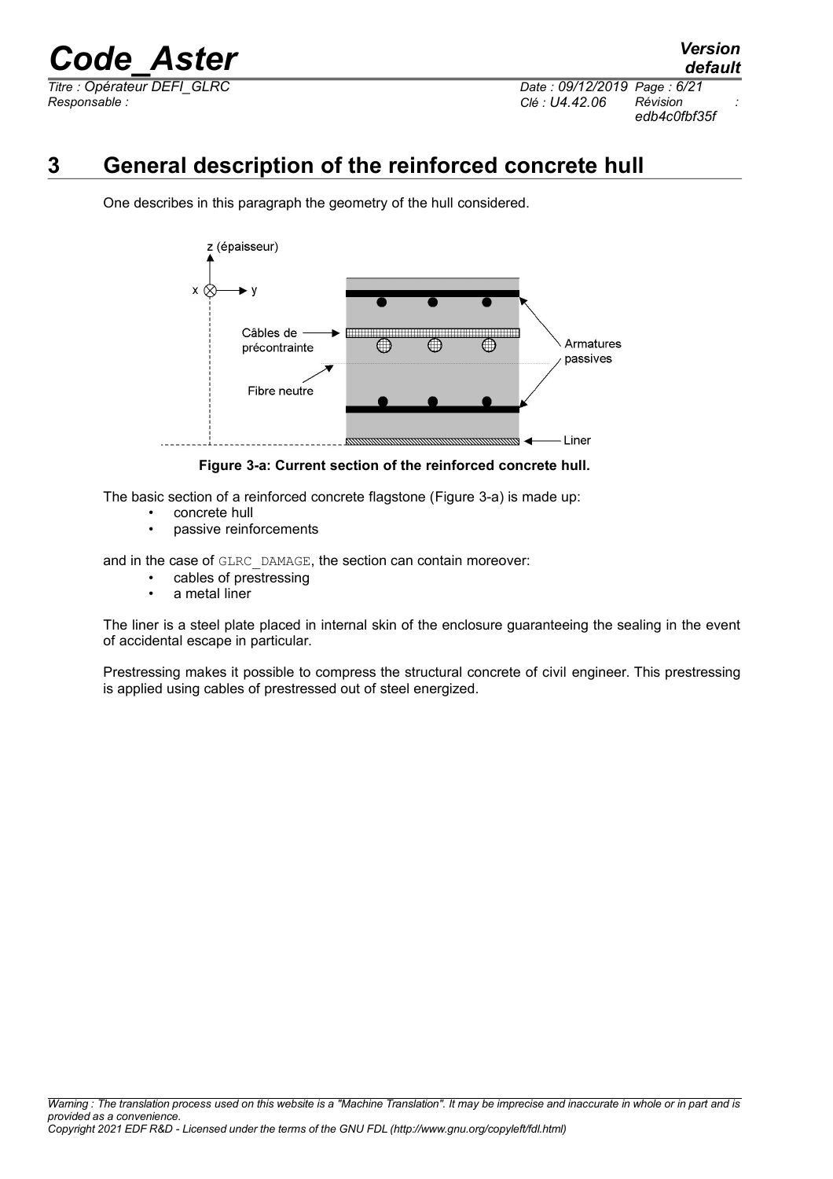*Responsable : Clé : U4.42.06 Révision :*

*default Titre : Opérateur DEFI\_GLRC Date : 09/12/2019 Page : 6/21 edb4c0fbf35f*

### **3 General description of the reinforced concrete hull**

<span id="page-5-0"></span>One describes in this paragraph the geometry of the hull considered.



<span id="page-5-1"></span>**Figure 3-a: Current section of the reinforced concrete hull.**

The basic section of a reinforced concrete flagstone [\(Figure 3-a\)](#page-5-1) is made up:

- concrete hull
- passive reinforcements

and in the case of GLRC DAMAGE, the section can contain moreover:

- cables of prestressing
- a metal liner

The liner is a steel plate placed in internal skin of the enclosure guaranteeing the sealing in the event of accidental escape in particular.

Prestressing makes it possible to compress the structural concrete of civil engineer. This prestressing is applied using cables of prestressed out of steel energized.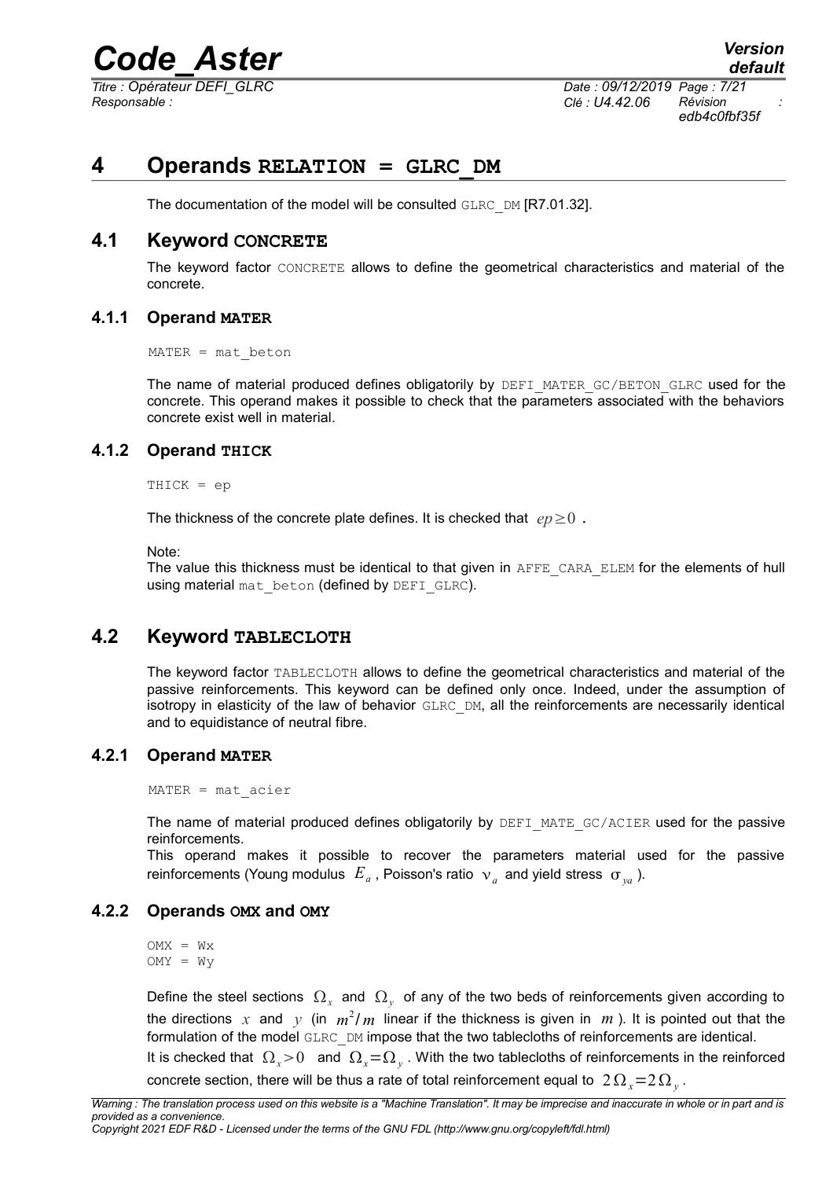*Titre : Opérateur DEFI\_GLRC Date : 09/12/2019 Page : 7/21 Responsable : Clé : U4.42.06 Révision :*

*edb4c0fbf35f*

### **4 Operands RELATION = GLRC\_DM**

<span id="page-6-6"></span>The documentation of the model will be consulted GLRC\_DM [R7.01.32].

#### **4.1 Keyword CONCRETE**

<span id="page-6-5"></span>The keyword factor CONCRETE allows to define the geometrical characteristics and material of the concrete.

#### **4.1.1 Operand MATER**

<span id="page-6-4"></span> $MATER = mat beton$ 

The name of material produced defines obligatorily by DEFI\_MATER\_GC/BETON\_GLRC used for the concrete. This operand makes it possible to check that the parameters associated with the behaviors concrete exist well in material.

#### **4.1.2 Operand THICK**

<span id="page-6-3"></span>THICK = ep

The thickness of the concrete plate defines. It is checked that  $ep \geq 0$ .

Note:

The value this thickness must be identical to that given in AFFE\_CARA\_ELEM for the elements of hull using material mat beton (defined by DEFI GLRC).

#### **4.2 Keyword TABLECLOTH**

<span id="page-6-2"></span>The keyword factor TABLECLOTH allows to define the geometrical characteristics and material of the passive reinforcements. This keyword can be defined only once. Indeed, under the assumption of isotropy in elasticity of the law of behavior GLRC DM, all the reinforcements are necessarily identical and to equidistance of neutral fibre.

#### **4.2.1 Operand MATER**

<span id="page-6-1"></span>MATER = mat\_acier

The name of material produced defines obligatorily by DEFI\_MATE\_GC/ACIER used for the passive reinforcements.

This operand makes it possible to recover the parameters material used for the passive reinforcements (Young modulus  $|E_{a}|$ , Poisson's ratio  $|v_{a}|$  and yield stress  $|\sigma_{ya}|$ ).

#### **4.2.2 Operands OMX and OMY**

<span id="page-6-0"></span> $OMX = Wx$  $OMY = Wy$ 

Define the steel sections  $\,\Omega_{_X}\,$  and  $\,\Omega_{_Y}\,$  of any of the two beds of reinforcements given according to the directions  $x$  and  $y$  (in  $m^2/m$  linear if the thickness is given in  $m$  ). It is pointed out that the formulation of the model GLRC DM impose that the two tablecloths of reinforcements are identical.

It is checked that  $\Omega_x$ >0 and  $\Omega_x$ = $\Omega_y$ . With the two tablecloths of reinforcements in the reinforced concrete section, there will be thus a rate of total reinforcement equal to  $\left. 2\,\Omega_{_{X}}\!\!=\!\!2\,\Omega_{_{Y}}\right.$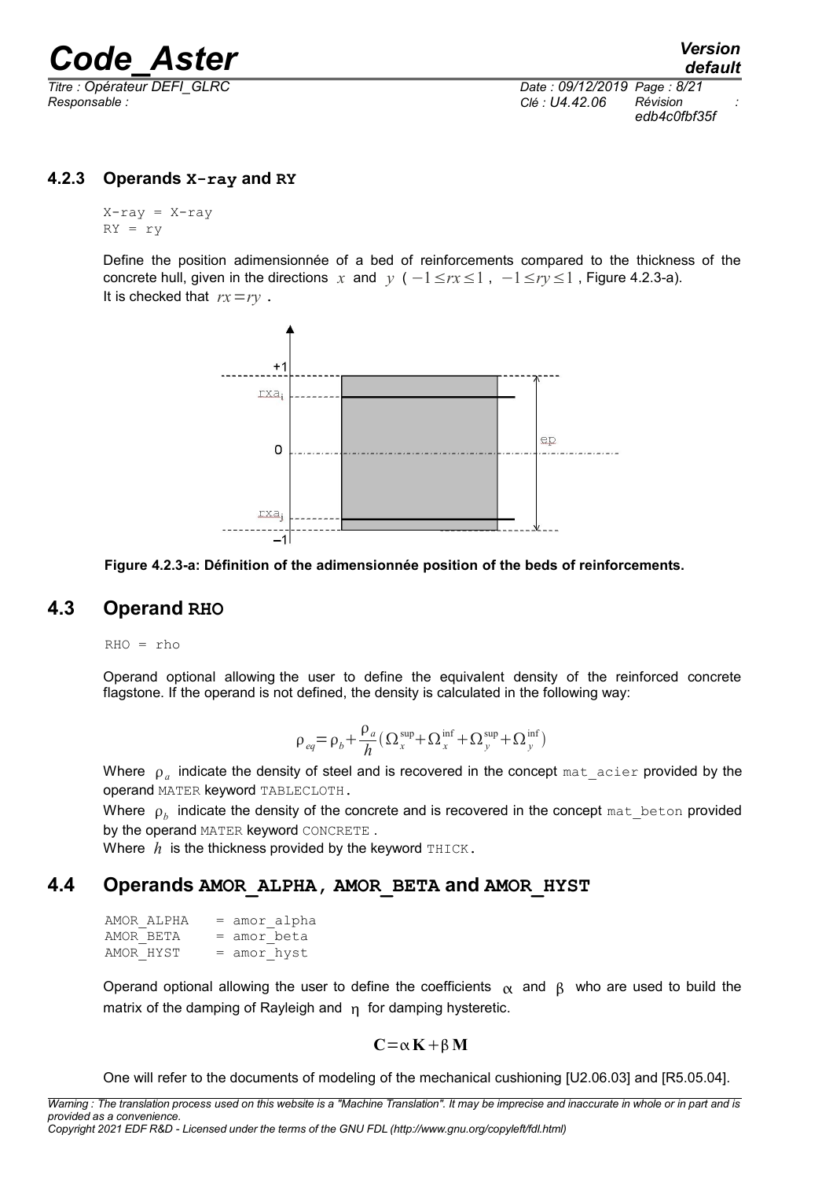*Responsable : Clé : U4.42.06 Révision :*

*Titre : Opérateur DEFI\_GLRC Date : 09/12/2019 Page : 8/21 edb4c0fbf35f*

#### **4.2.3 Operands X-ray and RY**

<span id="page-7-2"></span> $X$ -ray =  $X$ -ray  $RY = ry$ 

Define the position adimensionnée of a bed of reinforcements compared to the thickness of the concrete hull, given in the directions *x* and *y* ( $-1 \leq rx \leq 1$ ,  $-1 \leq ry \leq 1$ , [Figure 4.2.3-a\)](#page-7-3). It is checked that *rx*=*ry* .



<span id="page-7-3"></span>**Figure 4.2.3-a: Définition of the adimensionnée position of the beds of reinforcements.**

### **4.3 Operand RHO**

<span id="page-7-1"></span>RHO = rho

Operand optional allowing the user to define the equivalent density of the reinforced concrete flagstone. If the operand is not defined, the density is calculated in the following way:

$$
\rho_{eq} = \rho_b + \frac{\rho_a}{h} \left( \Omega_x^{\text{sup}} + \Omega_x^{\text{inf}} + \Omega_y^{\text{sup}} + \Omega_y^{\text{inf}} \right)
$$

Where  $\rho_{a}^{\parallel}$  indicate the density of steel and is recovered in the concept  $\tt{mat\_acier}$  provided by the operand MATER keyword TABLECLOTH.

Where  $\,\overline{\!p}_b\,$  indicate the density of the concrete and is recovered in the concept  $\texttt{mat\_beth}$  nature provided by the operand MATER keyword CONCRETE .

<span id="page-7-0"></span>Where  $h$  is the thickness provided by the keyword  $THICK$ .

#### **4.4 Operands AMOR\_ALPHA, AMOR\_BETA and AMOR\_HYST**

| AMOR ALPHA |               | = amor alpha |
|------------|---------------|--------------|
| AMOR BETA  | $=$ amor beta |              |
| AMOR HYST  | $=$ amor hyst |              |

Operand optional allowing the user to define the coefficients  $\alpha$  and  $\beta$  who are used to build the matrix of the damping of Rayleigh and  $n$  for damping hysteretic.

#### $C = \alpha K + \beta M$

One will refer to the documents of modeling of the mechanical cushioning [U2.06.03] and [R5.05.04].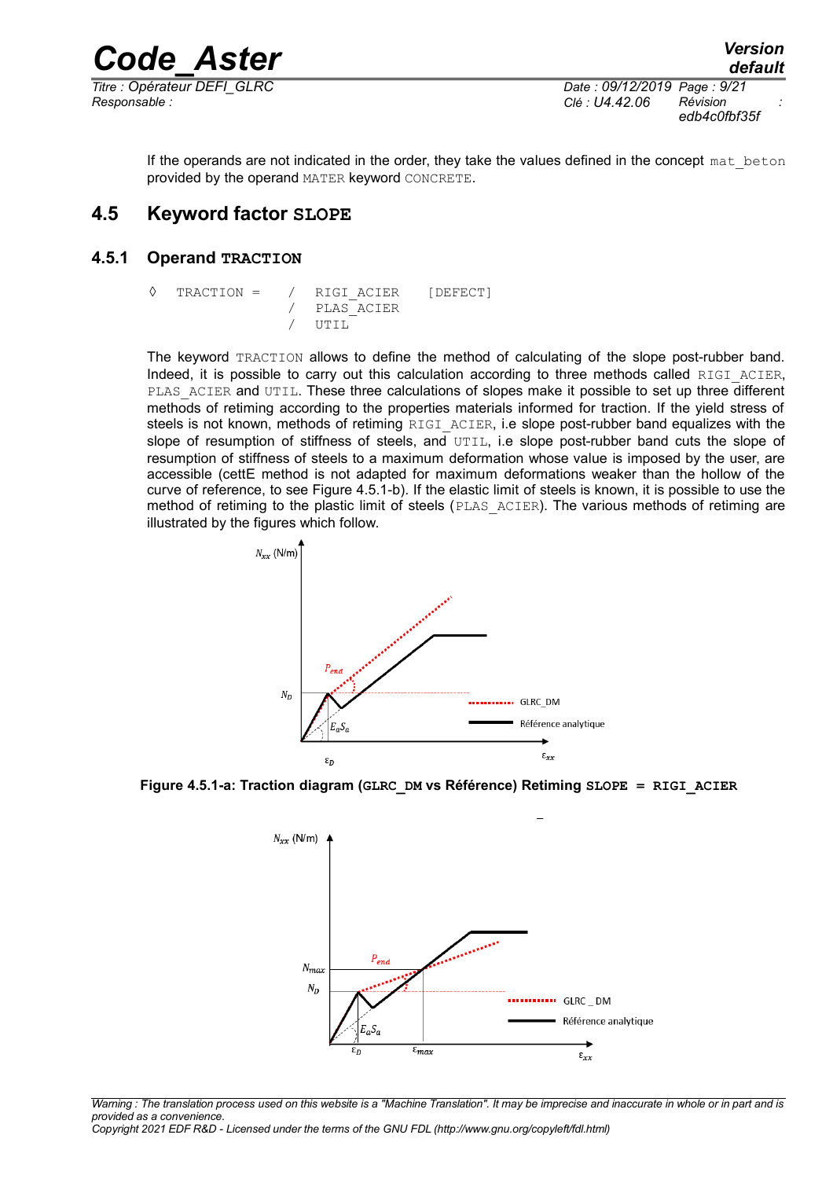*Titre : Opérateur DEFI\_GLRC Date : 09/12/2019 Page : 9/21 Responsable : Clé : U4.42.06 Révision :*

*edb4c0fbf35f*

<span id="page-8-1"></span>If the operands are not indicated in the order, they take the values defined in the concept mat beton provided by the operand MATER keyword CONCRETE.

#### **4.5 Keyword factor SLOPE**

#### **4.5.1 Operand TRACTION**

<span id="page-8-0"></span>

|  | $\Diamond$ TRACTION = / RIGI ACIER [DEFECT] |  |
|--|---------------------------------------------|--|
|  | / PLAS ACIER                                |  |
|  | $/$ $IJTTI$                                 |  |

The keyword TRACTION allows to define the method of calculating of the slope post-rubber band. Indeed, it is possible to carry out this calculation according to three methods called RIGI ACIER, PLAS ACIER and UTIL. These three calculations of slopes make it possible to set up three different methods of retiming according to the properties materials informed for traction. If the yield stress of steels is not known, methods of retiming RIGI ACIER, i.e slope post-rubber band equalizes with the slope of resumption of stiffness of steels, and  $UTIL$ , i.e slope post-rubber band cuts the slope of resumption of stiffness of steels to a maximum deformation whose value is imposed by the user, are accessible (cettE method is not adapted for maximum deformations weaker than the hollow of the curve of reference, to see [Figure 4.5.1-b\)](#page-9-1). If the elastic limit of steels is known, it is possible to use the method of retiming to the plastic limit of steels (PLAS\_ACIER). The various methods of retiming are illustrated by the figures which follow.



**Figure 4.5.1-a: Traction diagram (GLRC\_DM vs Référence) Retiming SLOPE = RIGI\_ACIER**



*Warning : The translation process used on this website is a "Machine Translation". It may be imprecise and inaccurate in whole or in part and is provided as a convenience.*

*Copyright 2021 EDF R&D - Licensed under the terms of the GNU FDL (http://www.gnu.org/copyleft/fdl.html)*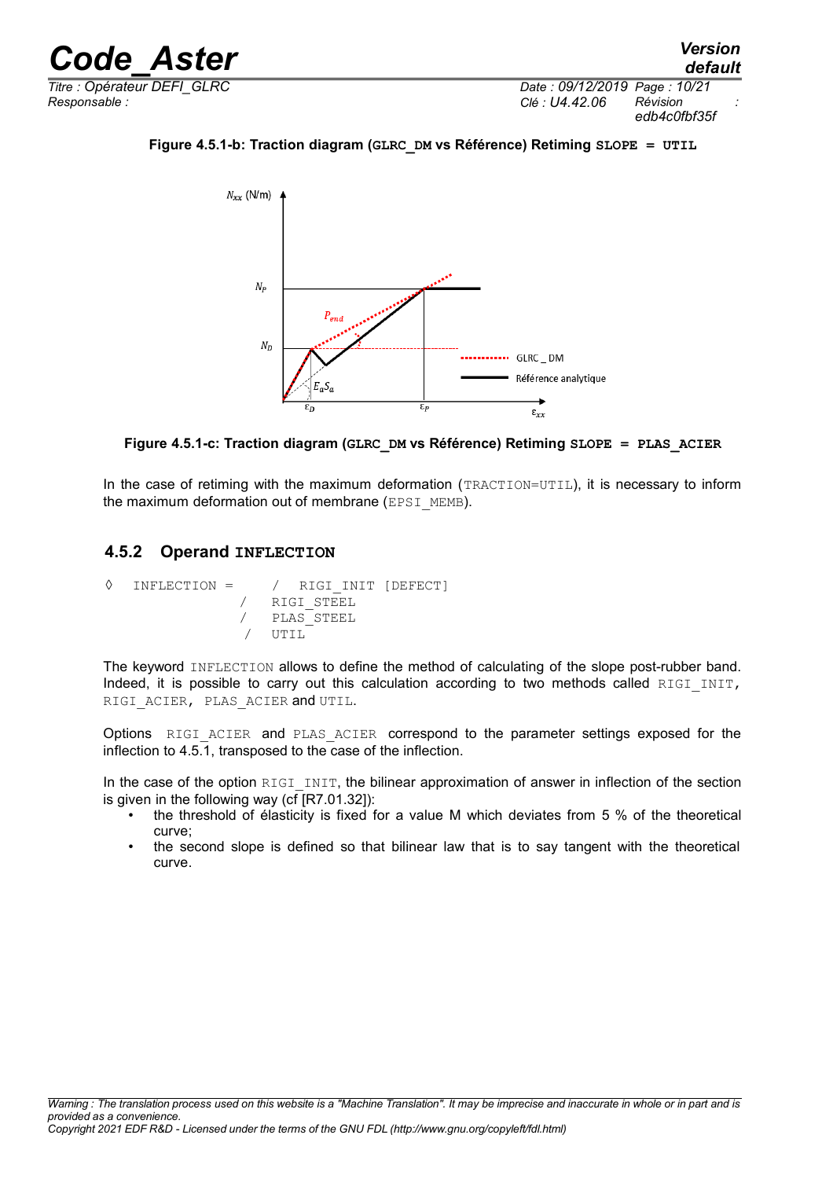*Titre : Opérateur DEFI\_GLRC Date : 09/12/2019 Page : 10/21 Responsable : Clé : U4.42.06 Révision :*

**Figure 4.5.1-b: Traction diagram (GLRC\_DM vs Référence) Retiming SLOPE = UTIL**

<span id="page-9-1"></span>

**Figure 4.5.1-c: Traction diagram (GLRC\_DM vs Référence) Retiming SLOPE = PLAS\_ACIER**

In the case of retiming with the maximum deformation (TRACTION=UTIL), it is necessary to inform the maximum deformation out of membrane (EPSI\_MEMB).

#### <span id="page-9-0"></span>**4.5.2 Operand INFLECTION**

```
◊ INFLECTION = / RIGI_INIT [DEFECT]
                  / RIGI_STEEL
                  / PLAS_STEEL
                     UTIL<sup>1</sup>
```
The keyword INFLECTION allows to define the method of calculating of the slope post-rubber band. Indeed, it is possible to carry out this calculation according to two methods called RIGI INIT, RIGI ACIER, PLAS ACIER and UTIL.

Options RIGI ACIER and PLAS ACIER correspond to the parameter settings exposed for the inflection to [4.5.1,](#page-8-0) transposed to the case of the inflection.

In the case of the option  $RIGI$  INIT, the bilinear approximation of answer in inflection of the section is given in the following way (cf [R7.01.32]):

- the threshold of élasticity is fixed for a value M which deviates from 5 % of the theoretical curve;
- the second slope is defined so that bilinear law that is to say tangent with the theoretical curve.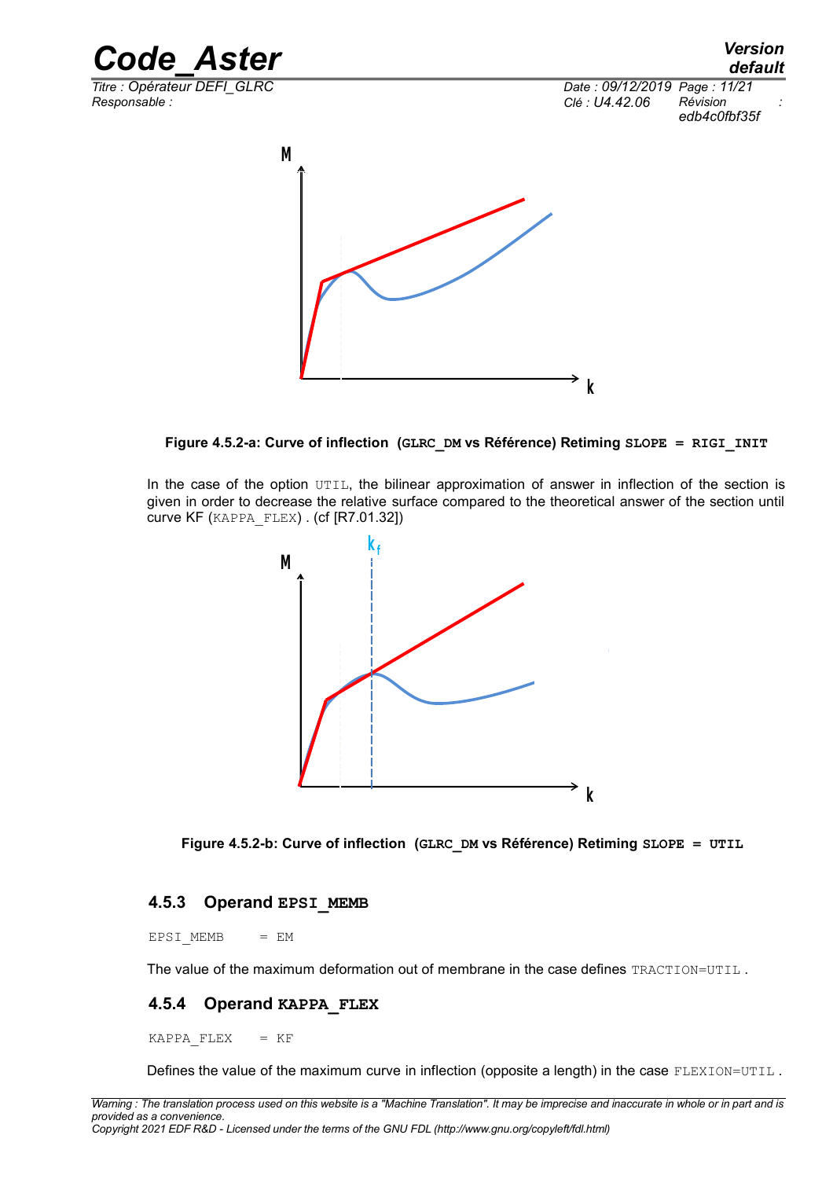

**Figure 4.5.2-a: Curve of inflection (GLRC\_DM vs Référence) Retiming SLOPE = RIGI\_INIT**

**k**

In the case of the option UTIL, the bilinear approximation of answer in inflection of the section is given in order to decrease the relative surface compared to the theoretical answer of the section until curve KF (KAPPA\_FLEX) . (cf [R7.01.32])



**Figure 4.5.2-b: Curve of inflection (GLRC\_DM vs Référence) Retiming SLOPE = UTIL** 

#### <span id="page-10-1"></span>**4.5.3 Operand EPSI\_MEMB**

 $EPSI$  MEMB  $= EM$ 

The value of the maximum deformation out of membrane in the case defines TRACTION=UTIL.

#### <span id="page-10-0"></span>**4.5.4 Operand KAPPA\_FLEX**

KAPPA FLEX  $= KF$ 

Defines the value of the maximum curve in inflection (opposite a length) in the case FLEXION=UTIL.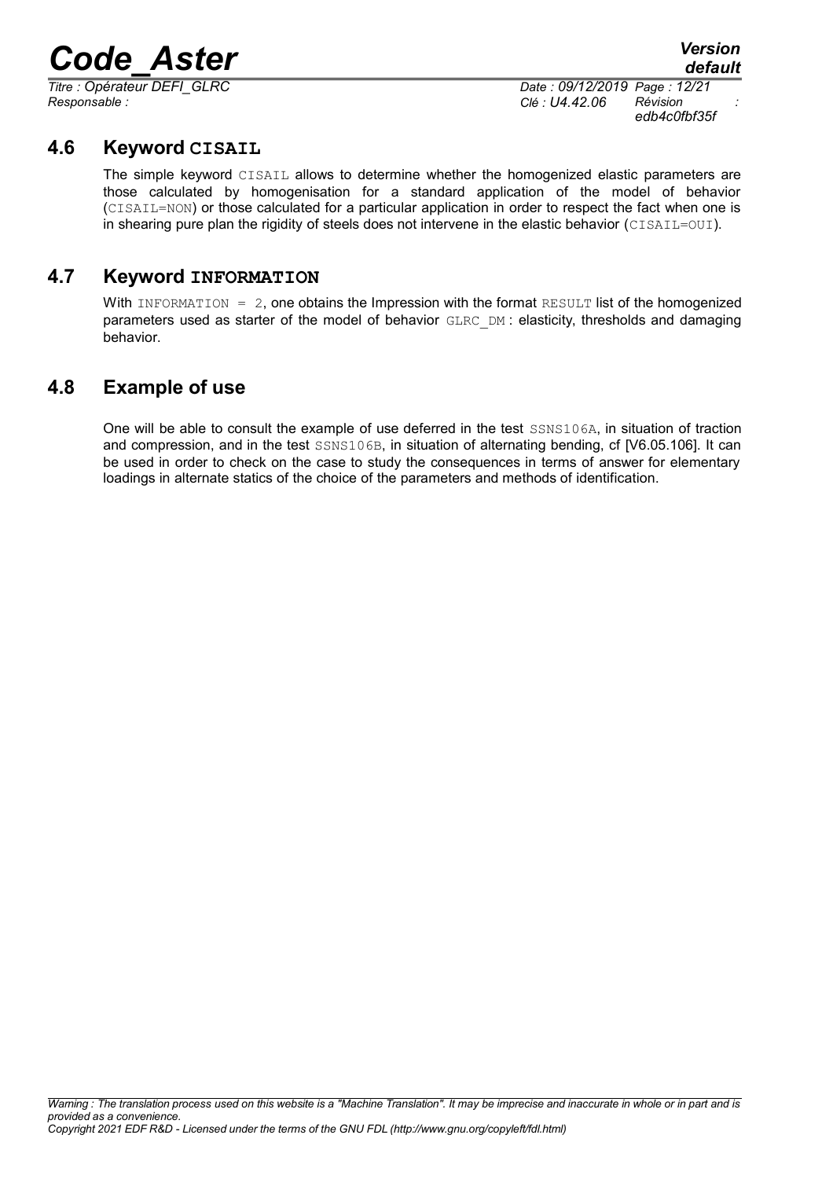*Responsable : Clé : U4.42.06 Révision :*

*Titre : Opérateur DEFI\_GLRC Date : 09/12/2019 Page : 12/21 edb4c0fbf35f*

### **4.6 Keyword CISAIL**

<span id="page-11-2"></span>The simple keyword CISAIL allows to determine whether the homogenized elastic parameters are those calculated by homogenisation for a standard application of the model of behavior (CISAIL=NON) or those calculated for a particular application in order to respect the fact when one is in shearing pure plan the rigidity of steels does not intervene in the elastic behavior (CISAIL=OUI).

### **4.7 Keyword INFORMATION**

<span id="page-11-1"></span>With INFORMATION =  $2$ , one obtains the Impression with the format RESULT list of the homogenized parameters used as starter of the model of behavior GLRC DM : elasticity, thresholds and damaging behavior.

### **4.8 Example of use**

<span id="page-11-0"></span>One will be able to consult the example of use deferred in the test SSNS106A, in situation of traction and compression, and in the test SSNS106B, in situation of alternating bending, cf [V6.05.106]. It can be used in order to check on the case to study the consequences in terms of answer for elementary loadings in alternate statics of the choice of the parameters and methods of identification.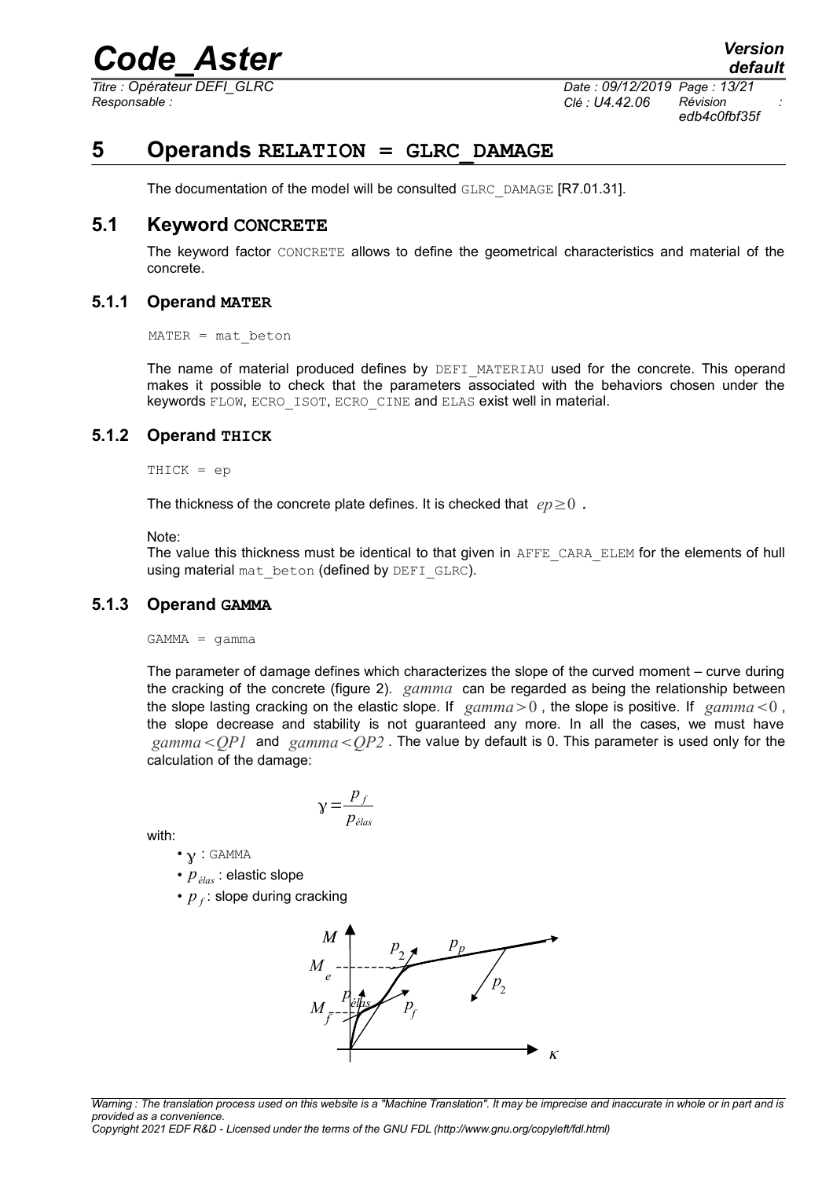*Titre : Opérateur DEFI\_GLRC Date : 09/12/2019 Page : 13/21 Responsable : Clé : U4.42.06 Révision :*

*edb4c0fbf35f*

### **5 Operands RELATION = GLRC\_DAMAGE**

<span id="page-12-4"></span>The documentation of the model will be consulted GLRC\_DAMAGE [R7.01.31].

#### **5.1 Keyword CONCRETE**

<span id="page-12-3"></span>The keyword factor CONCRETE allows to define the geometrical characteristics and material of the concrete.

#### **5.1.1 Operand MATER**

<span id="page-12-2"></span> $MATER = mat beton$ 

The name of material produced defines by DEFI\_MATERIAU used for the concrete. This operand makes it possible to check that the parameters associated with the behaviors chosen under the keywords FLOW, ECRO ISOT, ECRO CINE and ELAS exist well in material.

#### **5.1.2 Operand THICK**

<span id="page-12-1"></span>THICK = ep

The thickness of the concrete plate defines. It is checked that  $ep \geq 0$ .

Note:

The value this thickness must be identical to that given in AFFE\_CARA\_ELEM for the elements of hull using material mat beton (defined by DEFI GLRC).

#### **5.1.3 Operand GAMMA**

<span id="page-12-0"></span> $GAMMA = \gamma$ amma

The parameter of damage defines which characterizes the slope of the curved moment – curve during the cracking of the concrete (figure 2). *gamma* can be regarded as being the relationship between the slope lasting cracking on the elastic slope. If  $gamma > 0$ , the slope is positive. If  $gamma < 0$ , the slope decrease and stability is not guaranteed any more. In all the cases, we must have *gammaQP1* and *gammaQP2* . The value by default is 0. This parameter is used only for the calculation of the damage:

$$
\gamma = \frac{p_f}{p_{\text{élas}}}
$$

with:

- $\cdot$   $\gamma$  : GAMMA
- *pélas* : elastic slope
- $p_f$ : slope during cracking



*Warning : The translation process used on this website is a "Machine Translation". It may be imprecise and inaccurate in whole or in part and is provided as a convenience.*

*Copyright 2021 EDF R&D - Licensed under the terms of the GNU FDL (http://www.gnu.org/copyleft/fdl.html)*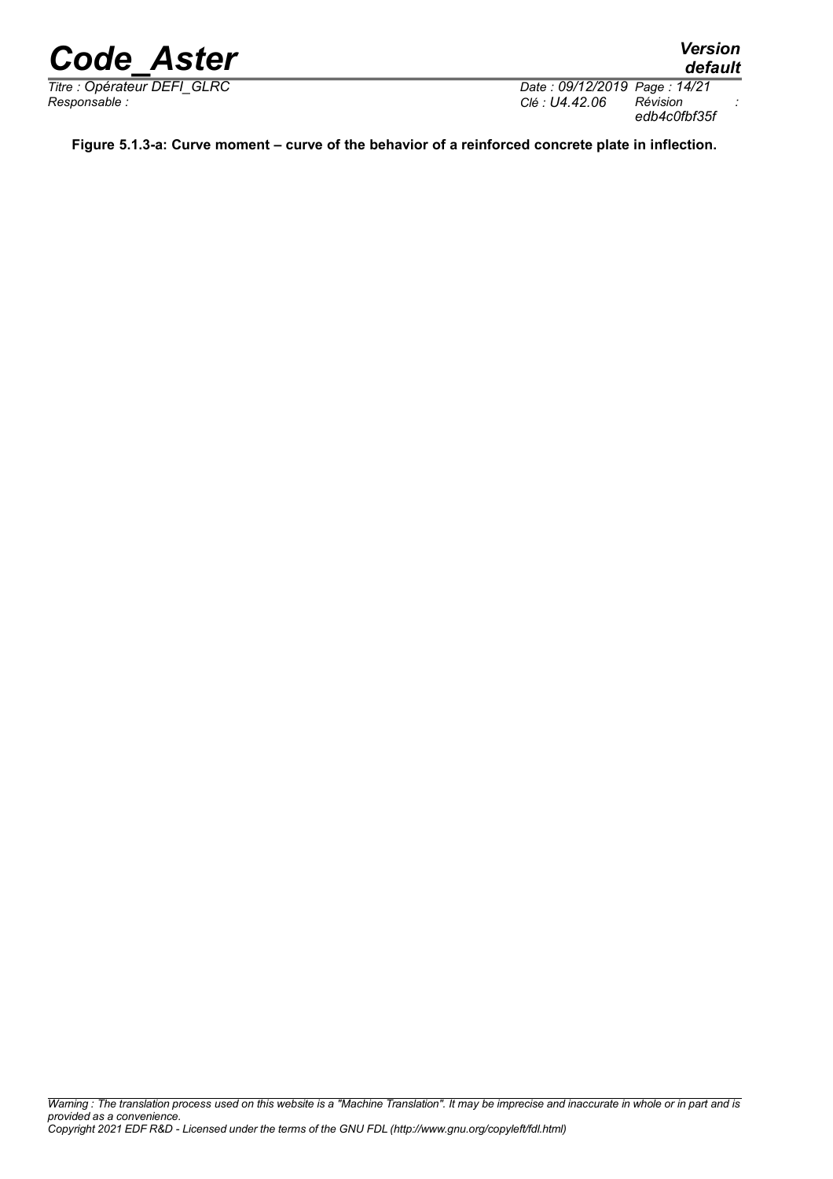*Titre : Opérateur DEFI\_GLRC Date : 09/12/2019 Page : 14/21 Responsable : Clé : U4.42.06 Révision : edb4c0fbf35f*

*default*

**Figure 5.1.3-a: Curve moment – curve of the behavior of a reinforced concrete plate in inflection.**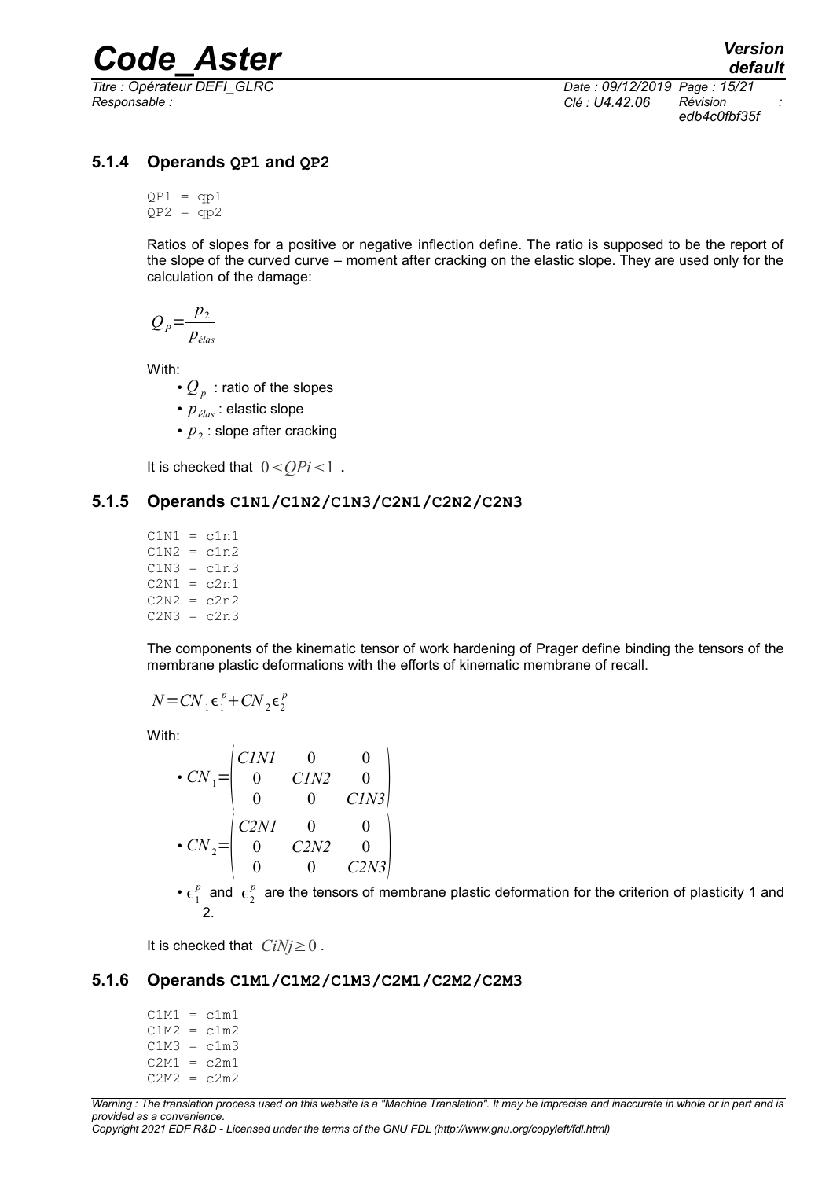*Responsable : Clé : U4.42.06 Révision :*

*Titre : Opérateur DEFI\_GLRC Date : 09/12/2019 Page : 15/21 edb4c0fbf35f*

#### **5.1.4 Operands QP1 and QP2**

<span id="page-14-2"></span> $OP1 = \alpha p1$  $QP2 = qp2$ 

Ratios of slopes for a positive or negative inflection define. The ratio is supposed to be the report of the slope of the curved curve – moment after cracking on the elastic slope. They are used only for the calculation of the damage:

$$
Q_P = \frac{p_2}{p_{\text{elas}}}
$$

With:

- $Q_p\,$  : ratio of the slopes
- *pélas* : elastic slope
- $p_2$ : slope after cracking

<span id="page-14-1"></span>It is checked that  $0 < QPi < 1$ .

#### **5.1.5 Operands C1N1/C1N2/C1N3/C2N1/C2N2/C2N3**

 $C1N1 = c1n1$  $C1N2 = c1n2$  $C1N3 = c1n3$  $C2N1 = c2n1$  $C2N2 = c2n2$  $C2N3 = c2n3$ 

The components of the kinematic tensor of work hardening of Prager define binding the tensors of the membrane plastic deformations with the efforts of kinematic membrane of recall.

$$
N = CN_1 \epsilon_1^p + CN_2 \epsilon_2^p
$$

With:

$$
\begin{aligned}\n & \cdot \text{CN}_1 = \begin{pmatrix} \text{CINI} & 0 & 0 \\ 0 & \text{CIN2} & 0 \\ 0 & 0 & \text{CIN3} \end{pmatrix} \\
 & \cdot \text{CN}_2 = \begin{pmatrix} \text{C2NI} & 0 & 0 \\ 0 & \text{C2N2} & 0 \\ 0 & 0 & \text{C2N3} \end{pmatrix}\n \end{aligned}
$$

•  $\epsilon_1^p$  and  $\epsilon_2^p$  are the tensors of membrane plastic deformation for the criterion of plasticity 1 and 2.

<span id="page-14-0"></span>It is checked that  $CiNi \geq 0$ .

#### **5.1.6 Operands C1M1/C1M2/C1M3/C2M1/C2M2/C2M3**

 $C1M1 = c1m1$  $C1M2 = c1m2$  $C1M3 = c1m3$  $C2M1 = c2m1$  $C2M2 = c2m2$ 

*Warning : The translation process used on this website is a "Machine Translation". It may be imprecise and inaccurate in whole or in part and is provided as a convenience. Copyright 2021 EDF R&D - Licensed under the terms of the GNU FDL (http://www.gnu.org/copyleft/fdl.html)*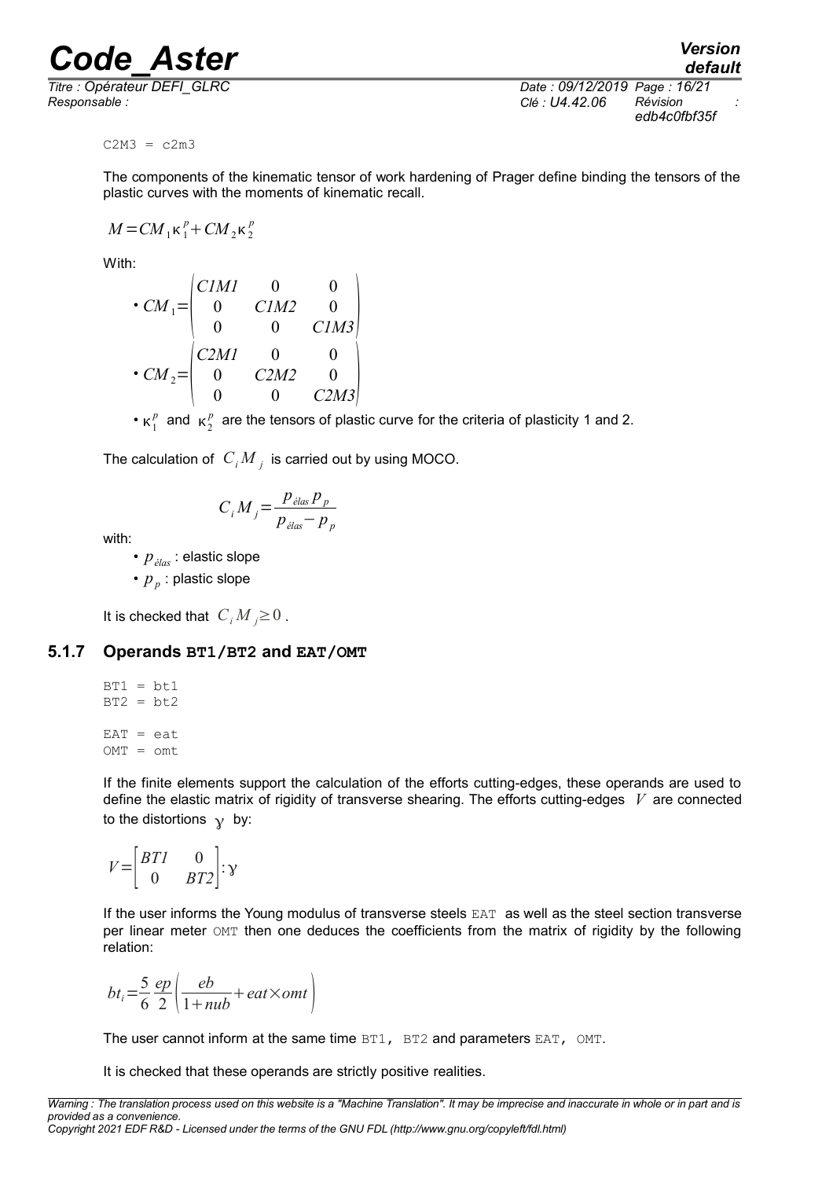*Responsable : Clé : U4.42.06 Révision :*

*default Titre : Opérateur DEFI\_GLRC Date : 09/12/2019 Page : 16/21 edb4c0fbf35f*

 $C2M3 = c2m3$ 

The components of the kinematic tensor of work hardening of Prager define binding the tensors of the plastic curves with the moments of kinematic recall.

 $M = CM_1 \kappa_1^p + CM_2 \kappa_2^p$ 

With:

$$
\begin{aligned}\n\cdot CM_1 &= \begin{pmatrix} CIMI & 0 & 0 \\ 0 & CIM2 & 0 \\ 0 & 0 & CIM3 \end{pmatrix} \\
\cdot CM_2 &= \begin{pmatrix} C2MI & 0 & 0 \\ 0 & C2M2 & 0 \\ 0 & 0 & C2M3 \end{pmatrix}\n\end{aligned}
$$

•  $\kappa_1^p$  and  $\kappa_2^p$  are the tensors of plastic curve for the criteria of plasticity 1 and 2.

The calculation of  $\left|C_iM\right|_j$  is carried out by using MOCO.

$$
C_i M_j = \frac{p_{\text{elas}} p_p}{p_{\text{elas}} - p_p}
$$

with:

- *pélas* : elastic slope
- $p_{p}$  : plastic slope

<span id="page-15-0"></span>It is checked that  $C_i M_i \geq 0$ .

#### **5.1.7 Operands BT1/BT2 and EAT/OMT**

$$
BT1 = bt1
$$
  
\n
$$
BT2 = bt2
$$
  
\n
$$
EAT = eat
$$
  
\n
$$
OMT = omt
$$

If the finite elements support the calculation of the efforts cutting-edges, these operands are used to define the elastic matrix of rigidity of transverse shearing. The efforts cutting-edges *V* are connected to the distortions  $\gamma$  by:

$$
V = \begin{bmatrix} BTI & 0 \\ 0 & BT2 \end{bmatrix} : \mathbf{y}
$$

If the user informs the Young modulus of transverse steels EAT as well as the steel section transverse per linear meter OMT then one deduces the coefficients from the matrix of rigidity by the following relation:

 $bt_i = \frac{5}{6}$ 6 *ep*  $\frac{1}{2}$  $\left(\frac{eb}{1+nu}+eat\times omt\right)$ 

The user cannot inform at the same time BT1, BT2 and parameters EAT, OMT.

It is checked that these operands are strictly positive realities.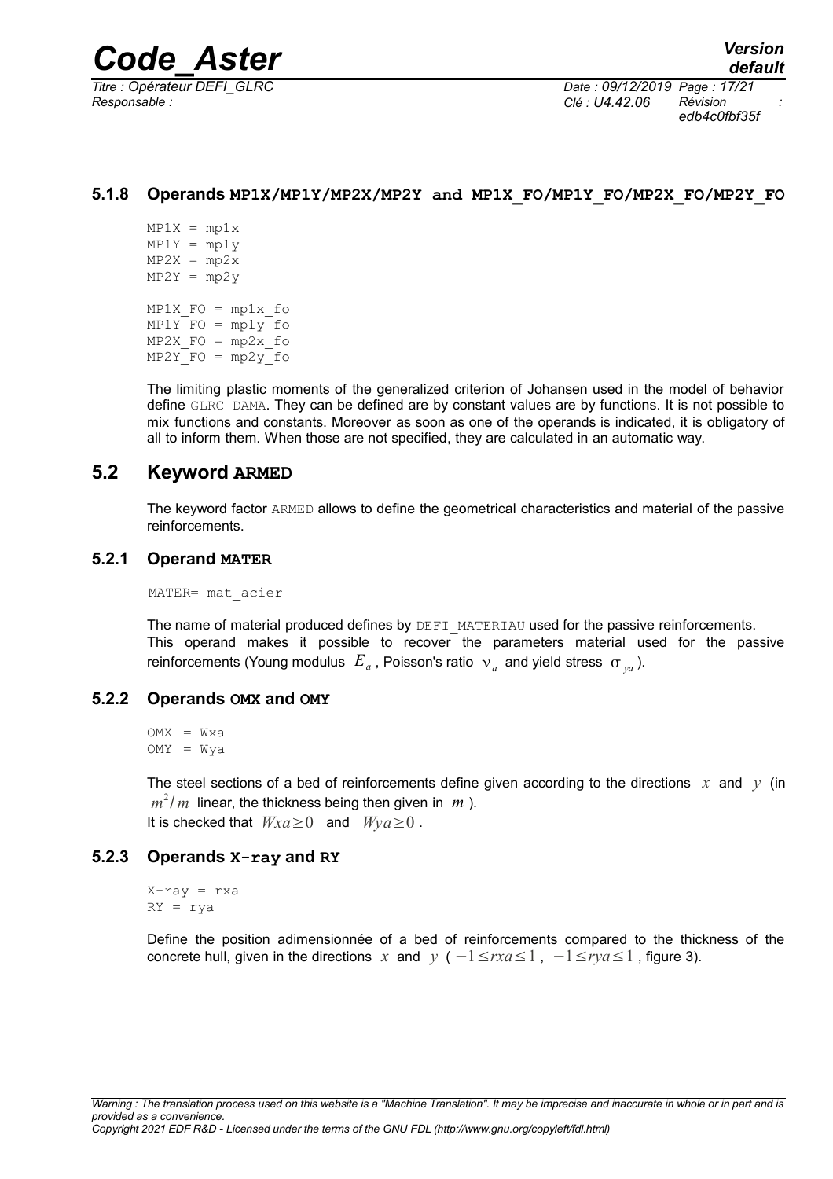*Responsable : Clé : U4.42.06 Révision :*

*Titre : Opérateur DEFI\_GLRC Date : 09/12/2019 Page : 17/21 edb4c0fbf35f*

#### **5.1.8 Operands MP1X/MP1Y/MP2X/MP2Y and MP1X\_FO/MP1Y\_FO/MP2X\_FO/MP2Y\_FO**

<span id="page-16-4"></span> $MP1X = mplx$  $MP1Y = mp1y$  $MP2X = mp2x$  $MP2Y = mp2y$  $MP1X$  FO =  $mp1x$  fo  $MP1YFO = mp1y$  fo  $MP2X$  FO =  $mp2x$  fo  $MP2Y$  FO =  $mp2y$  fo

The limiting plastic moments of the generalized criterion of Johansen used in the model of behavior define GLRC\_DAMA. They can be defined are by constant values are by functions. It is not possible to mix functions and constants. Moreover as soon as one of the operands is indicated, it is obligatory of all to inform them. When those are not specified, they are calculated in an automatic way.

#### **5.2 Keyword ARMED**

<span id="page-16-3"></span>The keyword factor ARMED allows to define the geometrical characteristics and material of the passive reinforcements.

#### **5.2.1 Operand MATER**

<span id="page-16-2"></span>MATER= mat\_acier

The name of material produced defines by DEFI\_MATERIAU used for the passive reinforcements. This operand makes it possible to recover the parameters material used for the passive reinforcements (Young modulus  $|E_{a}|$ , Poisson's ratio  $|v_{a}|$  and yield stress  $| \sigma _{ya}|$ ).

#### **5.2.2 Operands OMX and OMY**

<span id="page-16-1"></span>OMX = Wxa  $OWY = Wva$ 

The steel sections of a bed of reinforcements define given according to the directions  $x$  and  $y$  (in  $m^2/\,m$  linear, the thickness being then given in  $\,m$  ). It is checked that  $Wxa\geq 0$  and  $Wya\geq 0$ .

#### **5.2.3 Operands X-ray and RY**

<span id="page-16-0"></span> $X-ray = rxa$ RY = rya

Define the position adimensionnée of a bed of reinforcements compared to the thickness of the concrete hull, given in the directions *x* and *y* ( $-1 \leq rxa \leq 1$ ,  $-1 \leq rya \leq 1$ , figure 3).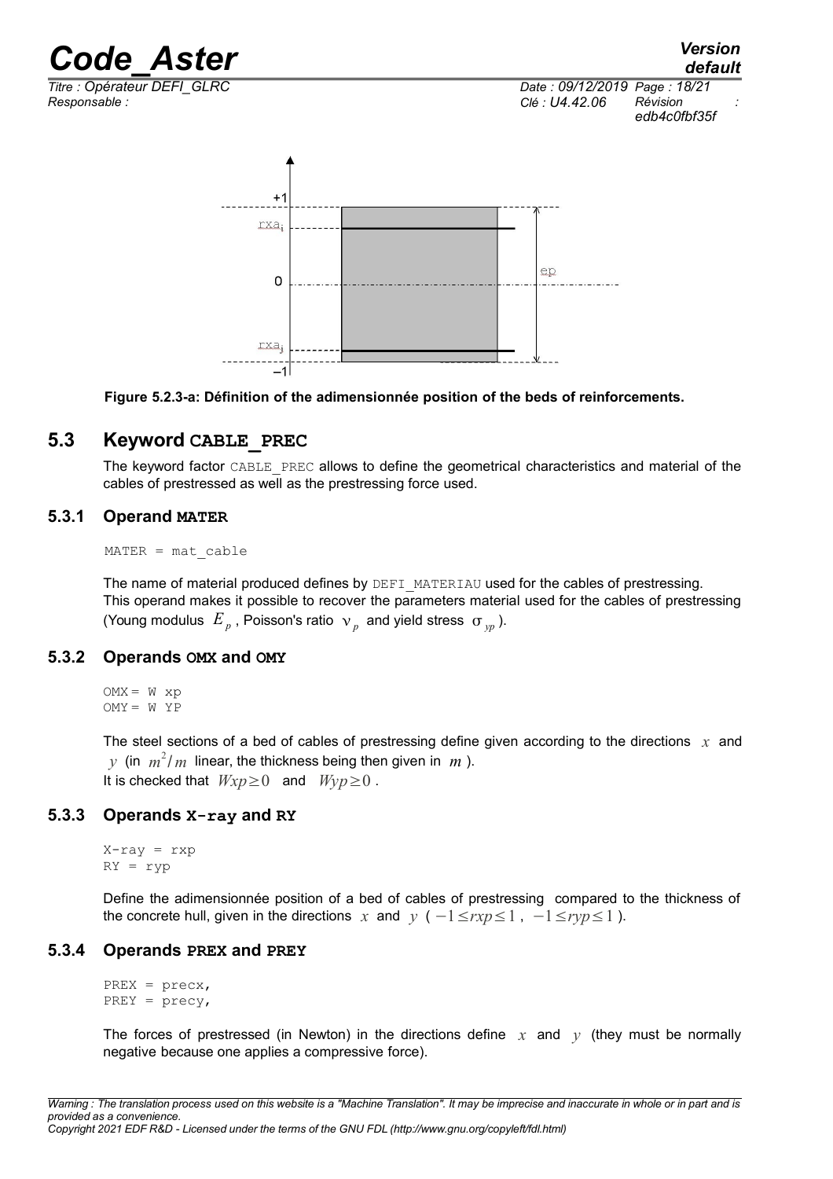*Responsable : Clé : U4.42.06 Révision :*

*Titre : Opérateur DEFI\_GLRC Date : 09/12/2019 Page : 18/21 edb4c0fbf35f*





#### **5.3 Keyword CABLE\_PREC**

<span id="page-17-2"></span>The keyword factor CABLE\_PREC allows to define the geometrical characteristics and material of the cables of prestressed as well as the prestressing force used.

#### **5.3.1 Operand MATER**

<span id="page-17-1"></span> $MATER = mat cable$ 

The name of material produced defines by DEFI\_MATERIAU used for the cables of prestressing. This operand makes it possible to recover the parameters material used for the cables of prestressing (Young modulus  $E_p$ , Poisson's ratio  $\mathcal{P}_p$  and yield stress  $\mathcal{F}_{yp}$ ).

#### **5.3.2 Operands OMX and OMY**

<span id="page-17-0"></span> $OMX = W xp$  $OMY = WYP$ 

The steel sections of a bed of cables of prestressing define given according to the directions *x* and  $y$  (in  $m^2/m$  linear, the thickness being then given in  $m$  ). It is checked that  $Wxp\geq 0$  and  $Wyp\geq 0$ .

#### **5.3.3 Operands X-ray and RY**

<span id="page-17-4"></span> $X-ray = rxp$ RY = ryp

Define the adimensionnée position of a bed of cables of prestressing compared to the thickness of the concrete hull, given in the directions *x* and *y* ( $-1 \leq rxp \leq 1$ ,  $-1 \leq ryp \leq 1$ ).

#### **5.3.4 Operands PREX and PREY**

<span id="page-17-3"></span>PREX = precx, PREY = precy,

The forces of prestressed (in Newton) in the directions define  $x$  and  $y$  (they must be normally negative because one applies a compressive force).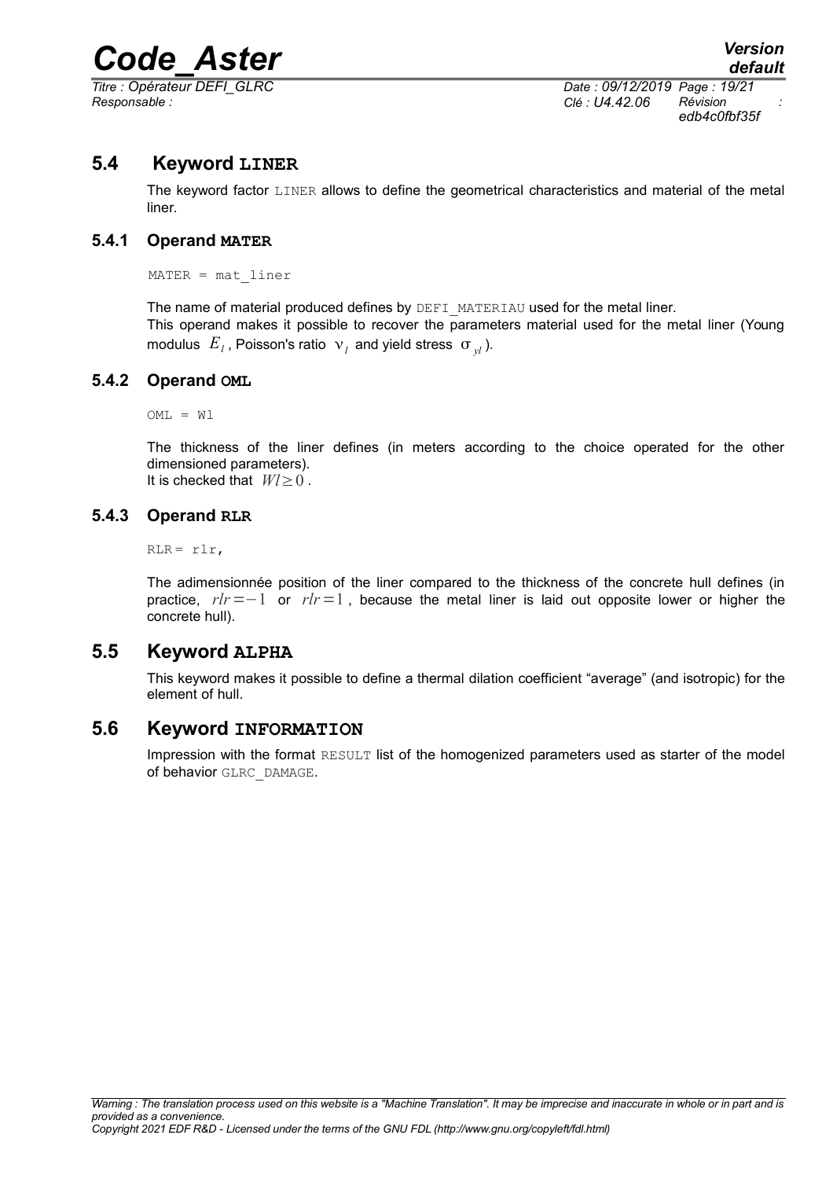*Titre : Opérateur DEFI\_GLRC Date : 09/12/2019 Page : 19/21 Responsable : Clé : U4.42.06 Révision :*

*edb4c0fbf35f*

### **5.4 Keyword LINER**

<span id="page-18-5"></span>The keyword factor LINER allows to define the geometrical characteristics and material of the metal liner.

#### **5.4.1 Operand MATER**

<span id="page-18-4"></span>MATER = mat\_liner

The name of material produced defines by DEFI\_MATERIAU used for the metal liner. This operand makes it possible to recover the parameters material used for the metal liner (Young modulus  $|E_j|$ , Poisson's ratio  $|v_j|$  and yield stress  $| \sigma_{y^j}|$ ).

#### **5.4.2 Operand OML**

<span id="page-18-3"></span> $OML = W1$ 

The thickness of the liner defines (in meters according to the choice operated for the other dimensioned parameters). It is checked that *Wl*≥0 .

#### **5.4.3 Operand RLR**

<span id="page-18-2"></span> $RLR = r1r$ ,

The adimensionnée position of the liner compared to the thickness of the concrete hull defines (in practice, *rlr*=−1 or *rlr*=1 , because the metal liner is laid out opposite lower or higher the concrete hull).

#### **5.5 Keyword ALPHA**

<span id="page-18-1"></span>This keyword makes it possible to define a thermal dilation coefficient "average" (and isotropic) for the element of hull.

#### **5.6 Keyword INFORMATION**

<span id="page-18-0"></span>Impression with the format RESULT list of the homogenized parameters used as starter of the model of behavior GLRC\_DAMAGE.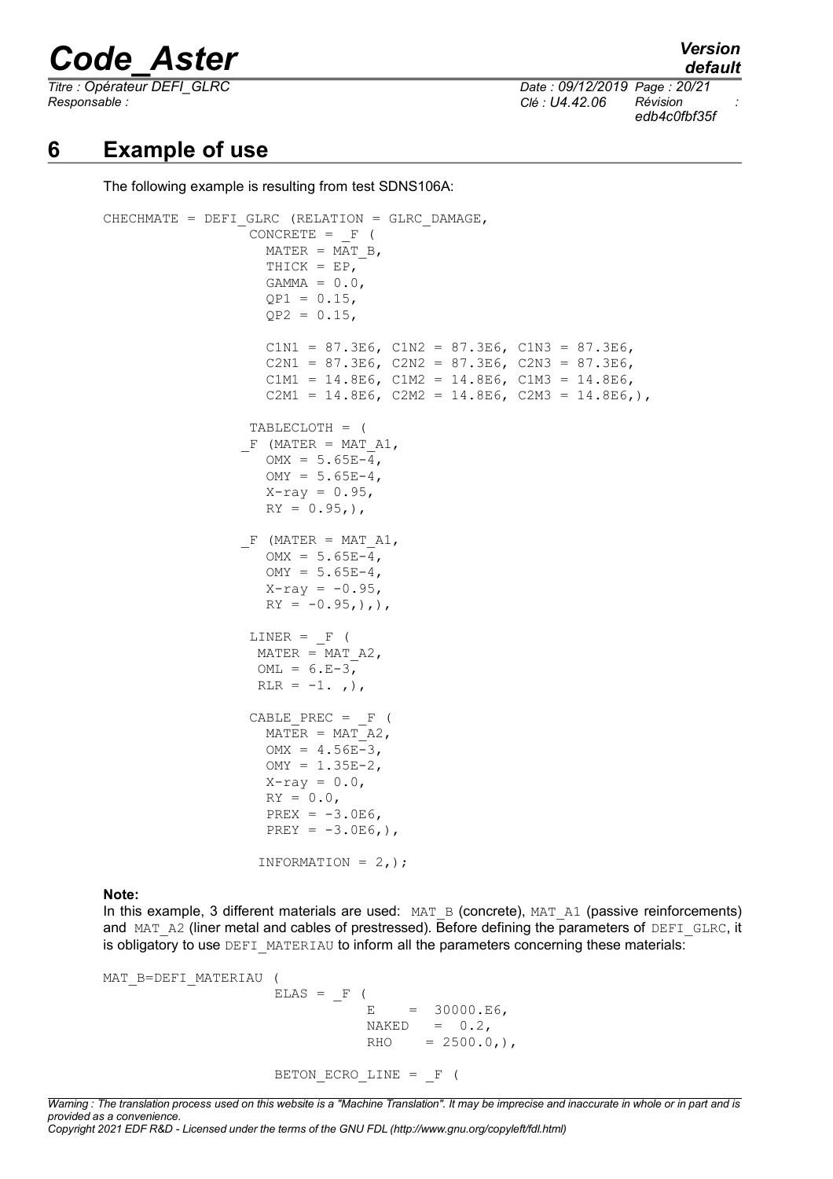*Responsable : Clé : U4.42.06 Révision :*

*Titre : Opérateur DEFI\_GLRC Date : 09/12/2019 Page : 20/21 edb4c0fbf35f*

### **6 Example of use**

<span id="page-19-0"></span>The following example is resulting from test SDNS106A:

```
CHECHMATE = DEFI_GLRC (RELATION = GLRC_DAMAGE,
                 CONCRETE = F (MATER = MATB, THICK = EP,
                   GAMMA = 0.0QP1 = 0.15,
                    QP2 = 0.15,
                   C1N1 = 87.3E6, C1N2 = 87.3E6, C1N3 = 87.3E6,
                   C2N1 = 87.3E6, C2N2 = 87.3E6, C2N3 = 87.3E6,
                   C1M1 = 14.8E6, C1M2 = 14.8E6, C1M3 = 14.8E6,
                   C2M1 = 14.8E6, C2M2 = 14.8E6, C2M3 = 14.8E6, ),
                  TABLECLOTH = (
                F (MATER = MAT A1,
                   OMX = 5.65E-4OMY = 5.65E-4X-ray = 0.95,
                   RY = 0.95,),
                F (MATER = MAT A1,
                   OMX = 5.65E-4,OMY = 5.65E-4,X-ray = -0.95RY = -0.95,),LINER = F (MATER = MAT A2,
                  OML = 6.E-3,RLR = -1., ,),
                 CABLE PREC = F (
                   MATER = MAT<sup>-</sup>A2,
                   OMX = 4.56E-3,OMY = 1.35E-2,
                   X-ray = 0.0,
                   RY = 0.0,
                   PREX = -3.0E6,
                   PREY = -3.0E6,),
                   INFORMATION = 2,);
```
#### **Note:**

In this example, 3 different materials are used:  $MAT$  B (concrete),  $MAT$  A1 (passive reinforcements) and MAT\_A2 (liner metal and cables of prestressed). Before defining the parameters of DEFI\_GLRC, it is obligatory to use DEFI\_MATERIAU to inform all the parameters concerning these materials:

```
MAT B=DEFI MATERIAU (
                  ELAS = F (E = 30000.E6NAKED = 0.2RHO = 2500.0,),
                  BETON ECRO LINE = F (
```
*Warning : The translation process used on this website is a "Machine Translation". It may be imprecise and inaccurate in whole or in part and is provided as a convenience. Copyright 2021 EDF R&D - Licensed under the terms of the GNU FDL (http://www.gnu.org/copyleft/fdl.html)*

*default*